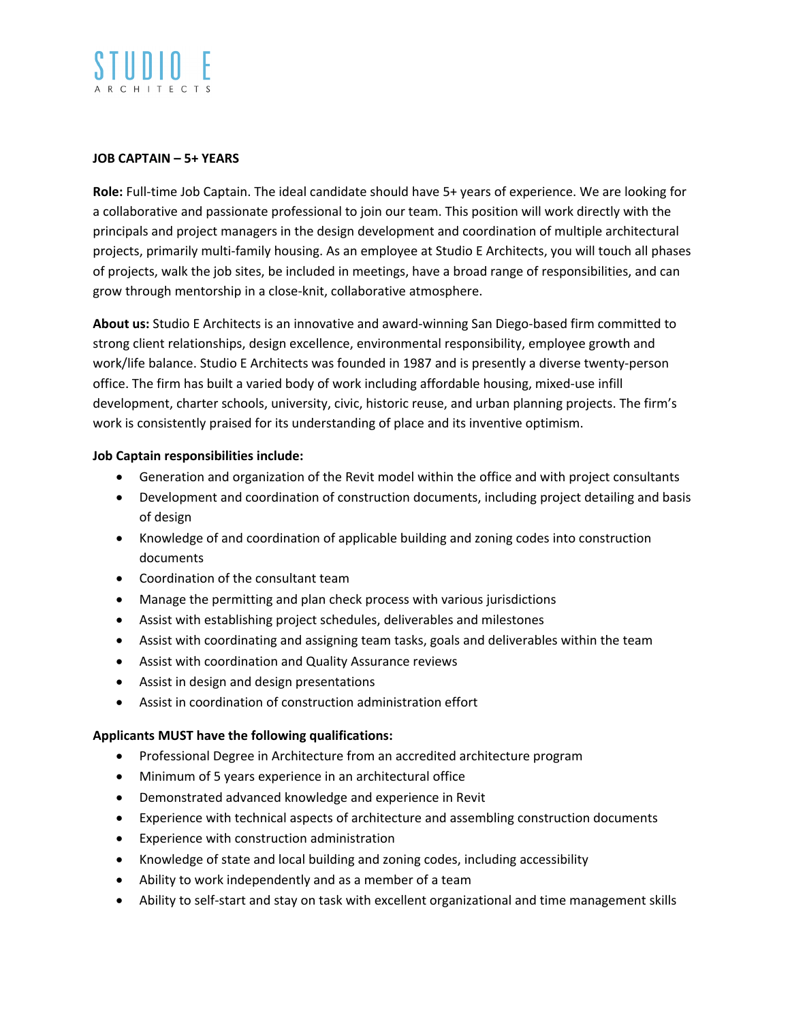#### **JOB CAPTAIN – 5+ YEARS**

**Role:** Full-time Job Captain. The ideal candidate should have 5+ years of experience. We are looking for a collaborative and passionate professional to join our team. This position will work directly with the principals and project managers in the design development and coordination of multiple architectural projects, primarily multi-family housing. As an employee at Studio E Architects, you will touch all phases of projects, walk the job sites, be included in meetings, have a broad range of responsibilities, and can grow through mentorship in a close-knit, collaborative atmosphere.

**About us:** Studio E Architects is an innovative and award-winning San Diego-based firm committed to strong client relationships, design excellence, environmental responsibility, employee growth and work/life balance. Studio E Architects was founded in 1987 and is presently a diverse twenty-person office. The firm has built a varied body of work including affordable housing, mixed-use infill development, charter schools, university, civic, historic reuse, and urban planning projects. The firm's work is consistently praised for its understanding of place and its inventive optimism.

### **Job Captain responsibilities include:**

- Generation and organization of the Revit model within the office and with project consultants
- Development and coordination of construction documents, including project detailing and basis of design
- Knowledge of and coordination of applicable building and zoning codes into construction documents
- Coordination of the consultant team
- Manage the permitting and plan check process with various jurisdictions
- Assist with establishing project schedules, deliverables and milestones
- Assist with coordinating and assigning team tasks, goals and deliverables within the team
- Assist with coordination and Quality Assurance reviews
- Assist in design and design presentations
- Assist in coordination of construction administration effort

## **Applicants MUST have the following qualifications:**

- Professional Degree in Architecture from an accredited architecture program
- Minimum of 5 years experience in an architectural office
- Demonstrated advanced knowledge and experience in Revit
- Experience with technical aspects of architecture and assembling construction documents
- Experience with construction administration
- Knowledge of state and local building and zoning codes, including accessibility
- Ability to work independently and as a member of a team
- Ability to self-start and stay on task with excellent organizational and time management skills